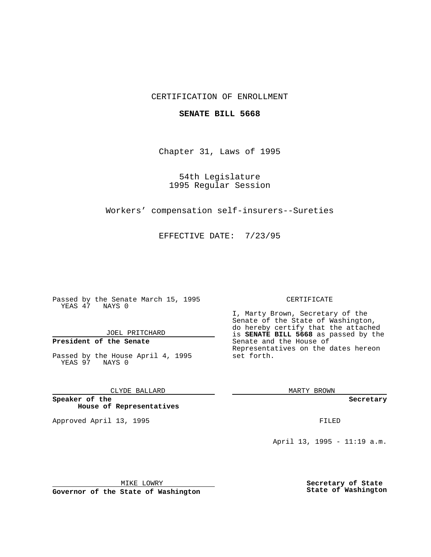## CERTIFICATION OF ENROLLMENT

### **SENATE BILL 5668**

Chapter 31, Laws of 1995

54th Legislature 1995 Regular Session

Workers' compensation self-insurers--Sureties

EFFECTIVE DATE: 7/23/95

Passed by the Senate March 15, 1995 YEAS 47 NAYS 0

JOEL PRITCHARD

# **President of the Senate**

Passed by the House April 4, 1995 YEAS 97 NAYS 0

CLYDE BALLARD

**Speaker of the House of Representatives**

Approved April 13, 1995 FILED

#### CERTIFICATE

I, Marty Brown, Secretary of the Senate of the State of Washington, do hereby certify that the attached is **SENATE BILL 5668** as passed by the Senate and the House of Representatives on the dates hereon set forth.

MARTY BROWN

**Secretary**

April 13, 1995 - 11:19 a.m.

MIKE LOWRY **Governor of the State of Washington** **Secretary of State State of Washington**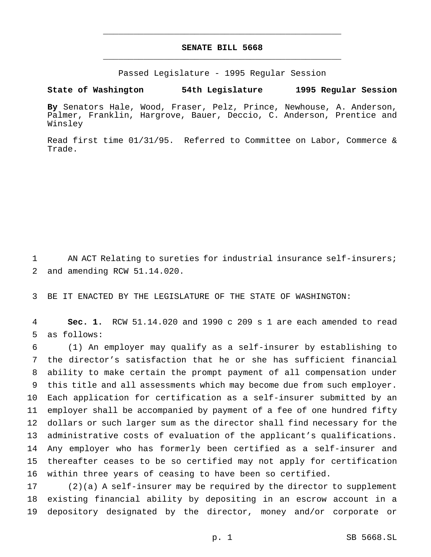# **SENATE BILL 5668** \_\_\_\_\_\_\_\_\_\_\_\_\_\_\_\_\_\_\_\_\_\_\_\_\_\_\_\_\_\_\_\_\_\_\_\_\_\_\_\_\_\_\_\_\_\_\_

\_\_\_\_\_\_\_\_\_\_\_\_\_\_\_\_\_\_\_\_\_\_\_\_\_\_\_\_\_\_\_\_\_\_\_\_\_\_\_\_\_\_\_\_\_\_\_

Passed Legislature - 1995 Regular Session

**State of Washington 54th Legislature 1995 Regular Session**

**By** Senators Hale, Wood, Fraser, Pelz, Prince, Newhouse, A. Anderson, Palmer, Franklin, Hargrove, Bauer, Deccio, C. Anderson, Prentice and Winsley

Read first time 01/31/95. Referred to Committee on Labor, Commerce & Trade.

 AN ACT Relating to sureties for industrial insurance self-insurers; and amending RCW 51.14.020.

BE IT ENACTED BY THE LEGISLATURE OF THE STATE OF WASHINGTON:

 **Sec. 1.** RCW 51.14.020 and 1990 c 209 s 1 are each amended to read as follows:

 (1) An employer may qualify as a self-insurer by establishing to the director's satisfaction that he or she has sufficient financial ability to make certain the prompt payment of all compensation under this title and all assessments which may become due from such employer. Each application for certification as a self-insurer submitted by an employer shall be accompanied by payment of a fee of one hundred fifty dollars or such larger sum as the director shall find necessary for the administrative costs of evaluation of the applicant's qualifications. Any employer who has formerly been certified as a self-insurer and thereafter ceases to be so certified may not apply for certification within three years of ceasing to have been so certified.

 (2)(a) A self-insurer may be required by the director to supplement existing financial ability by depositing in an escrow account in a depository designated by the director, money and/or corporate or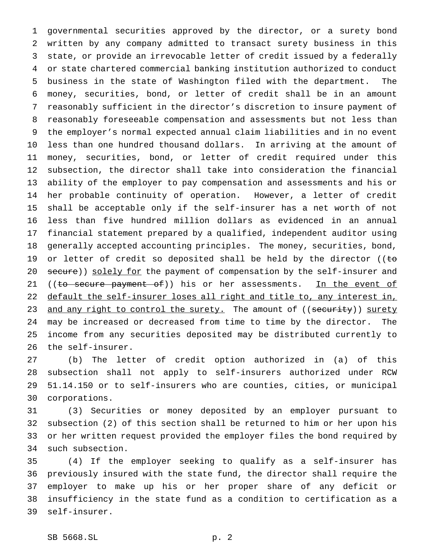governmental securities approved by the director, or a surety bond written by any company admitted to transact surety business in this state, or provide an irrevocable letter of credit issued by a federally or state chartered commercial banking institution authorized to conduct business in the state of Washington filed with the department. The money, securities, bond, or letter of credit shall be in an amount reasonably sufficient in the director's discretion to insure payment of reasonably foreseeable compensation and assessments but not less than the employer's normal expected annual claim liabilities and in no event less than one hundred thousand dollars. In arriving at the amount of money, securities, bond, or letter of credit required under this subsection, the director shall take into consideration the financial ability of the employer to pay compensation and assessments and his or her probable continuity of operation. However, a letter of credit shall be acceptable only if the self-insurer has a net worth of not less than five hundred million dollars as evidenced in an annual financial statement prepared by a qualified, independent auditor using generally accepted accounting principles. The money, securities, bond, 19 or letter of credit so deposited shall be held by the director ( $\epsilon$ 20 secure)) solely for the payment of compensation by the self-insurer and 21 ((to secure payment of)) his or her assessments. In the event of 22 default the self-insurer loses all right and title to, any interest in, 23 and any right to control the surety. The amount of ((security)) surety may be increased or decreased from time to time by the director. The income from any securities deposited may be distributed currently to the self-insurer.

 (b) The letter of credit option authorized in (a) of this subsection shall not apply to self-insurers authorized under RCW 51.14.150 or to self-insurers who are counties, cities, or municipal corporations.

 (3) Securities or money deposited by an employer pursuant to subsection (2) of this section shall be returned to him or her upon his or her written request provided the employer files the bond required by such subsection.

 (4) If the employer seeking to qualify as a self-insurer has previously insured with the state fund, the director shall require the employer to make up his or her proper share of any deficit or insufficiency in the state fund as a condition to certification as a self-insurer.